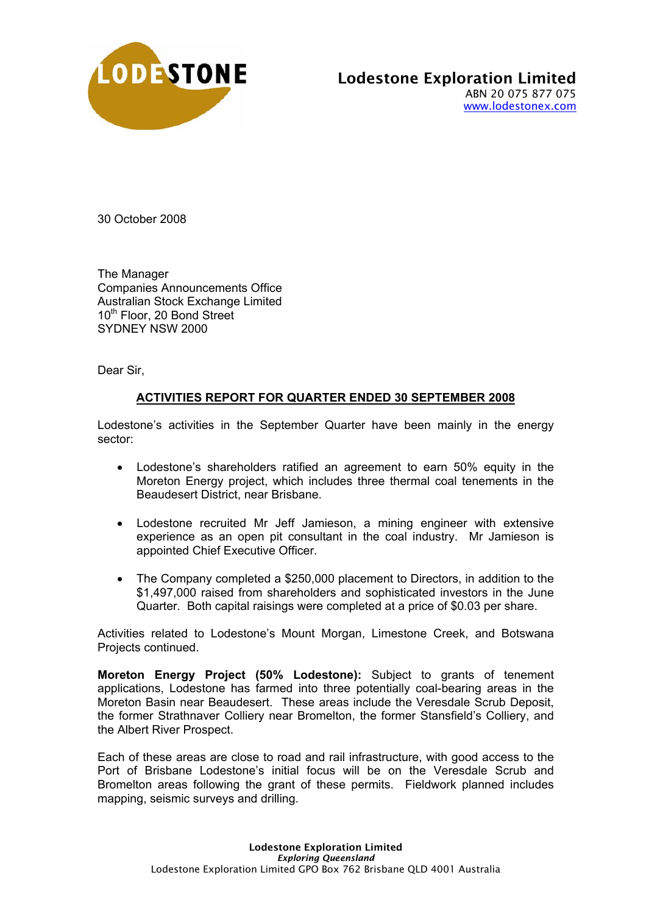

30 October 2008

The Manager Companies Announcements Office Australian Stock Exchange Limited 10<sup>th</sup> Floor, 20 Bond Street SYDNEY NSW 2000

Dear Sir,

## **ACTIVITIES REPORT FOR QUARTER ENDED 30 SEPTEMBER 2008**

Lodestone's activities in the September Quarter have been mainly in the energy sector:

- Lodestone's shareholders ratified an agreement to earn 50% equity in the Moreton Energy project, which includes three thermal coal tenements in the Beaudesert District, near Brisbane.
- Lodestone recruited Mr Jeff Jamieson, a mining engineer with extensive experience as an open pit consultant in the coal industry. Mr Jamieson is appointed Chief Executive Officer.
- The Company completed a \$250,000 placement to Directors, in addition to the \$1,497,000 raised from shareholders and sophisticated investors in the June Quarter. Both capital raisings were completed at a price of \$0.03 per share.

Activities related to Lodestone's Mount Morgan, Limestone Creek, and Botswana Projects continued.

**Moreton Energy Project (50% Lodestone):** Subject to grants of tenement applications, Lodestone has farmed into three potentially coal-bearing areas in the Moreton Basin near Beaudesert. These areas include the Veresdale Scrub Deposit, the former Strathnaver Colliery near Bromelton, the former Stansfield's Colliery, and the Albert River Prospect.

Each of these areas are close to road and rail infrastructure, with good access to the Port of Brisbane Lodestone's initial focus will be on the Veresdale Scrub and Bromelton areas following the grant of these permits. Fieldwork planned includes mapping, seismic surveys and drilling.